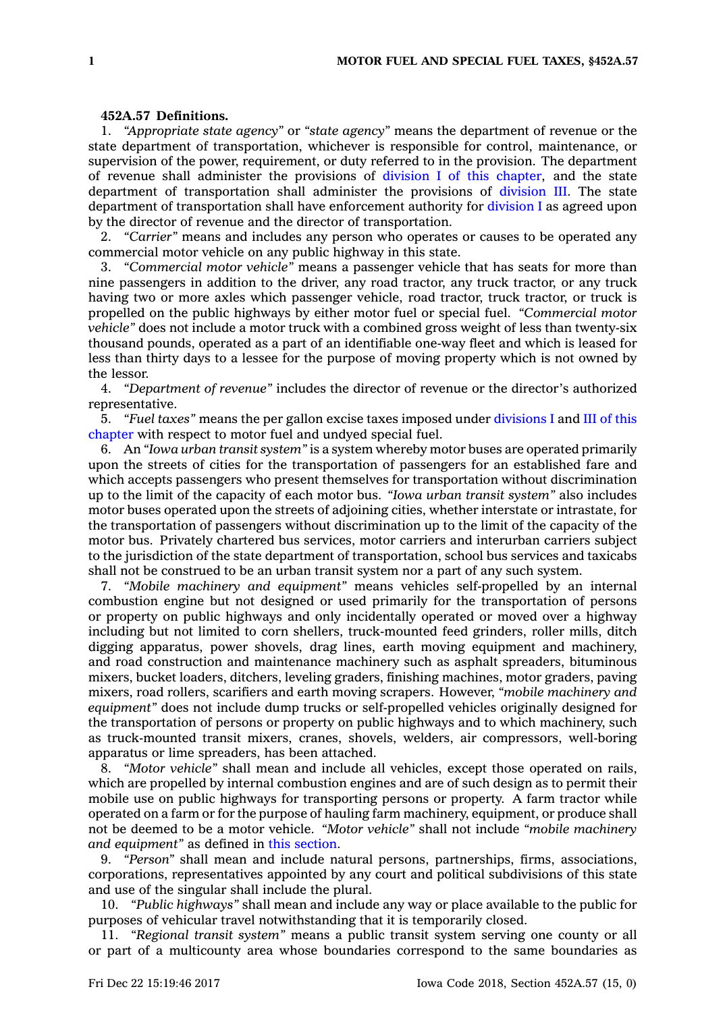## **452A.57 Definitions.**

1. *"Appropriate state agency"* or *"state agency"* means the department of revenue or the state department of transportation, whichever is responsible for control, maintenance, or supervision of the power, requirement, or duty referred to in the provision. The department of revenue shall administer the provisions of division I of this [chapter](https://www.legis.iowa.gov/docs/code//452A.pdf), and the state department of transportation shall administer the provisions of [division](https://www.legis.iowa.gov/docs/code//452A.pdf) III. The state department of transportation shall have enforcement authority for [division](https://www.legis.iowa.gov/docs/code//452A.pdf) I as agreed upon by the director of revenue and the director of transportation.

2. *"Carrier"* means and includes any person who operates or causes to be operated any commercial motor vehicle on any public highway in this state.

3. *"Commercial motor vehicle"* means <sup>a</sup> passenger vehicle that has seats for more than nine passengers in addition to the driver, any road tractor, any truck tractor, or any truck having two or more axles which passenger vehicle, road tractor, truck tractor, or truck is propelled on the public highways by either motor fuel or special fuel. *"Commercial motor vehicle"* does not include <sup>a</sup> motor truck with <sup>a</sup> combined gross weight of less than twenty-six thousand pounds, operated as <sup>a</sup> part of an identifiable one-way fleet and which is leased for less than thirty days to <sup>a</sup> lessee for the purpose of moving property which is not owned by the lessor.

4. *"Department of revenue"* includes the director of revenue or the director's authorized representative.

5. *"Fuel taxes"* means the per gallon excise taxes imposed under [divisions](https://www.legis.iowa.gov/docs/code//452A.pdf) I and III of [this](https://www.legis.iowa.gov/docs/code//452A.pdf) [chapter](https://www.legis.iowa.gov/docs/code//452A.pdf) with respect to motor fuel and undyed special fuel.

6. An *"Iowa urban transit system"* is <sup>a</sup> system whereby motor buses are operated primarily upon the streets of cities for the transportation of passengers for an established fare and which accepts passengers who present themselves for transportation without discrimination up to the limit of the capacity of each motor bus. *"Iowa urban transit system"* also includes motor buses operated upon the streets of adjoining cities, whether interstate or intrastate, for the transportation of passengers without discrimination up to the limit of the capacity of the motor bus. Privately chartered bus services, motor carriers and interurban carriers subject to the jurisdiction of the state department of transportation, school bus services and taxicabs shall not be construed to be an urban transit system nor <sup>a</sup> part of any such system.

7. *"Mobile machinery and equipment"* means vehicles self-propelled by an internal combustion engine but not designed or used primarily for the transportation of persons or property on public highways and only incidentally operated or moved over <sup>a</sup> highway including but not limited to corn shellers, truck-mounted feed grinders, roller mills, ditch digging apparatus, power shovels, drag lines, earth moving equipment and machinery, and road construction and maintenance machinery such as asphalt spreaders, bituminous mixers, bucket loaders, ditchers, leveling graders, finishing machines, motor graders, paving mixers, road rollers, scarifiers and earth moving scrapers. However, *"mobile machinery and equipment"* does not include dump trucks or self-propelled vehicles originally designed for the transportation of persons or property on public highways and to which machinery, such as truck-mounted transit mixers, cranes, shovels, welders, air compressors, well-boring apparatus or lime spreaders, has been attached.

8. *"Motor vehicle"* shall mean and include all vehicles, except those operated on rails, which are propelled by internal combustion engines and are of such design as to permit their mobile use on public highways for transporting persons or property. A farm tractor while operated on <sup>a</sup> farm or for the purpose of hauling farm machinery, equipment, or produce shall not be deemed to be <sup>a</sup> motor vehicle. *"Motor vehicle"* shall not include *"mobile machinery and equipment"* as defined in this [section](https://www.legis.iowa.gov/docs/code/452A.57.pdf).

9. *"Person"* shall mean and include natural persons, partnerships, firms, associations, corporations, representatives appointed by any court and political subdivisions of this state and use of the singular shall include the plural.

10. *"Public highways"* shall mean and include any way or place available to the public for purposes of vehicular travel notwithstanding that it is temporarily closed.

11. *"Regional transit system"* means <sup>a</sup> public transit system serving one county or all or part of <sup>a</sup> multicounty area whose boundaries correspond to the same boundaries as